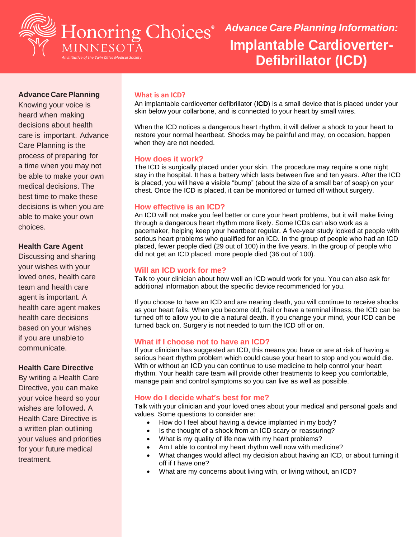

# *Advance Care Planning Information:* **Implantable Cardioverter-Defibrillator (ICD)**

## **Advance CarePlanning**

Knowing your voice is heard when making decisions about health care is important. Advance Care Planning is the process of preparing for a time when you may not be able to make your own medical decisions. The best time to make these decisions is when you are able to make your own choices.

## **Health Care Agent**

Discussing and sharing your wishes with your loved ones, health care team and health care agent is important. A health care agent makes health care decisions based on your wishes if you are unableto communicate.

## **Health Care Directive**

By writing a Health Care Directive, you can make your voice heard so your wishes are followed**.** A Health Care Directive is a written plan outlining your values and priorities for your future medical treatment.

#### **What is an ICD?**

An implantable cardioverter defibrillator (**ICD**) is a small device that is placed under your skin below your collarbone, and is connected to your heart by small wires.

When the ICD notices a dangerous heart rhythm, it will deliver a shock to your heart to restore your normal heartbeat. Shocks may be painful and may, on occasion, happen when they are not needed.

#### **How does it work?**

The ICD is surgically placed under your skin. The procedure may require a one night stay in the hospital. It has a battery which lasts between five and ten years. After the ICD is placed, you will have a visible "bump" (about the size of a small bar of soap) on your chest. Once the ICD is placed, it can be monitored or turned off without surgery.

## **How effective is an ICD?**

An ICD will not make you feel better or cure your heart problems, but it will make living through a dangerous heart rhythm more likely. Some ICDs can also work as a pacemaker, helping keep your heartbeat regular. A five-year study looked at people with serious heart problems who qualified for an ICD. In the group of people who had an ICD placed, fewer people died (29 out of 100) in the five years. In the group of people who did not get an ICD placed, more people died (36 out of 100).

#### **Will an ICD work for me?**

Talk to your clinician about how well an ICD would work for you. You can also ask for additional information about the specific device recommended for you.

If you choose to have an ICD and are nearing death, you will continue to receive shocks as your heart fails. When you become old, frail or have a terminal illness, the ICD can be turned off to allow you to die a natural death. If you change your mind, your ICD can be turned back on. Surgery is not needed to turn the ICD off or on.

## **What if I choose not to have an ICD?**

If your clinician has suggested an ICD, this means you have or are at risk of having a serious heart rhythm problem which could cause your heart to stop and you would die. With or without an ICD you can continue to use medicine to help control your heart rhythm. Your health care team will provide other treatments to keep you comfortable, manage pain and control symptoms so you can live as well as possible.

## **How do I decide what's best for me?**

Talk with your clinician and your loved ones about your medical and personal goals and values. Some questions to consider are:

- How do I feel about having a device implanted in my body?
- Is the thought of a shock from an ICD scary or reassuring?
- What is my quality of life now with my heart problems?
- Am I able to control my heart rhythm well now with medicine?
- What changes would affect my decision about having an ICD, or about turning it off if I have one?
- What are my concerns about living with, or living without, an ICD?